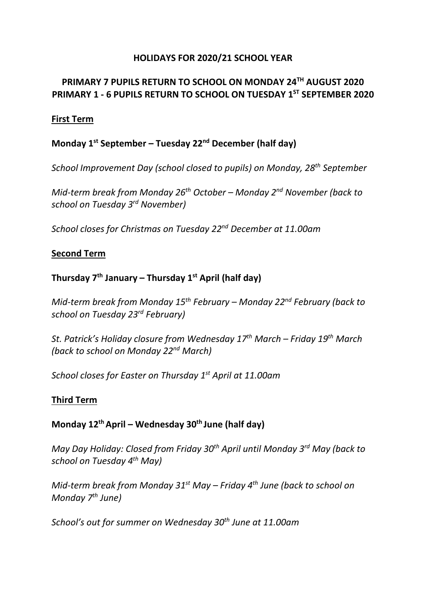## **HOLIDAYS FOR 2020/21 SCHOOL YEAR**

# **PRIMARY 7 PUPILS RETURN TO SCHOOL ON MONDAY 24 TH AUGUST 2020 PRIMARY 1 - 6 PUPILS RETURN TO SCHOOL ON TUESDAY 1ST SEPTEMBER 2020**

### **First Term**

## **Monday 1st September – Tuesday 22nd December (half day)**

*School Improvement Day (school closed to pupils) on Monday, 28th September*

*Mid-term break from Monday 26th October – Monday 2nd November (back to school on Tuesday 3rd November)*

*School closes for Christmas on Tuesday 22nd December at 11.00am*

### **Second Term**

# **Thursday 7 th January – Thursday 1st April (half day)**

*Mid-term break from Monday 15th February – Monday 22nd February (back to school on Tuesday 23rd February)*

*St. Patrick's Holiday closure from Wednesday 17th March – Friday 19th March (back to school on Monday 22nd March)*

*School closes for Easter on Thursday 1st April at 11.00am*

### **Third Term**

### **Monday 12thApril – Wednesday 30th June (half day)**

*May Day Holiday: Closed from Friday 30th April until Monday 3rd May (back to school on Tuesday 4th May)*

*Mid-term break from Monday 31st May – Friday 4th June (back to school on Monday 7th June)*

*School's out for summer on Wednesday 30th June at 11.00am*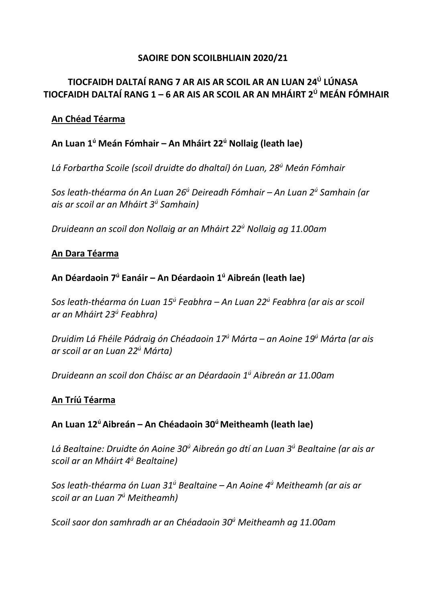## **SAOIRE DON SCOILBHLIAIN 2020/21**

# **TIOCFAIDH DALTAÍ RANG 7 AR AIS AR SCOIL AR AN LUAN 24 Ú LÚNASA TIOCFAIDH DALTAÍ RANG 1 – 6 AR AIS AR SCOIL AR AN MHÁIRT 2 <sup>Ú</sup> MEÁN FÓMHAIR**

## **An Chéad Téarma**

# **An Luan 1<sup>ú</sup> Meán Fómhair – An Mháirt 22<sup>ú</sup> Nollaig (leath lae)**

*Lá Forbartha Scoile (scoil druidte do dhaltaí) ón Luan, 28<sup>ú</sup> Meán Fómhair*

*Sos leath-théarma ón An Luan 26<sup>ú</sup> Deireadh Fómhair – An Luan 2<sup>ú</sup> Samhain (ar ais ar scoil ar an Mháirt 3<sup>ú</sup> Samhain)*

*Druideann an scoil don Nollaig ar an Mháirt 22<sup>ú</sup> Nollaig ag 11.00am*

### **An Dara Téarma**

# **An Déardaoin 7 <sup>ú</sup> Eanáir – An Déardaoin 1<sup>ú</sup> Aibreán (leath lae)**

*Sos leath-théarma ón Luan 15<sup>ú</sup> Feabhra – An Luan 22<sup>ú</sup> Feabhra (ar ais ar scoil ar an Mháirt 23<sup>ú</sup> Feabhra)*

*Druidim Lá Fhéile Pádraig ón Chéadaoin 17<sup>ú</sup> Márta – an Aoine 19<sup>ú</sup> Márta (ar ais ar scoil ar an Luan 22<sup>ú</sup> Márta)*

*Druideann an scoil don Cháisc ar an Déardaoin 1<sup>ú</sup> Aibreán ar 11.00am*

### **An Tríú Téarma**

## **An Luan 12<sup>ú</sup>Aibreán – An Chéadaoin 30<sup>ú</sup>Meitheamh (leath lae)**

*Lá Bealtaine: Druidte ón Aoine 30<sup>ú</sup> Aibreán go dtí an Luan 3<sup>ú</sup> Bealtaine (ar ais ar scoil ar an Mháirt 4<sup>ú</sup> Bealtaine)*

*Sos leath-théarma ón Luan 31<sup>ú</sup> Bealtaine – An Aoine 4<sup>ú</sup> Meitheamh (ar ais ar scoil ar an Luan 7<sup>ú</sup> Meitheamh)*

*Scoil saor don samhradh ar an Chéadaoin 30<sup>ú</sup> Meitheamh ag 11.00am*